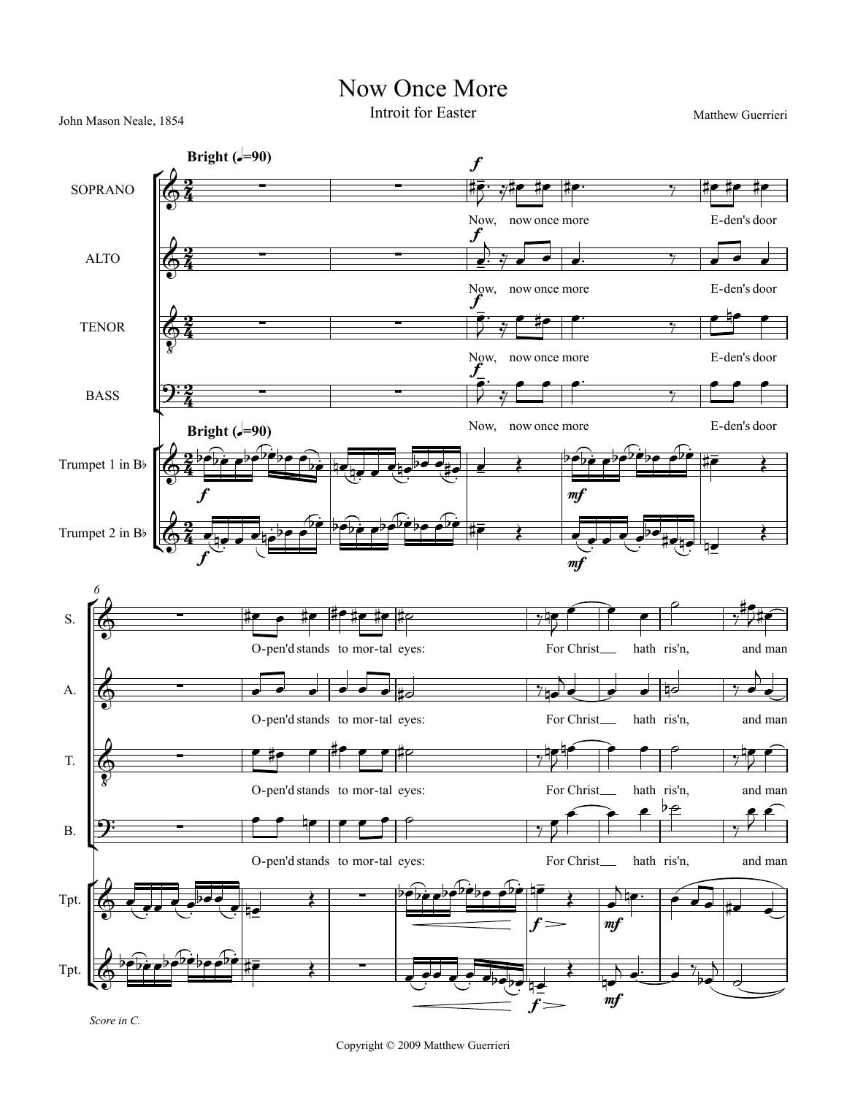## Now Once More

John Mason Neale, 1854 **Introit for Easter** Matthew Guerrieri